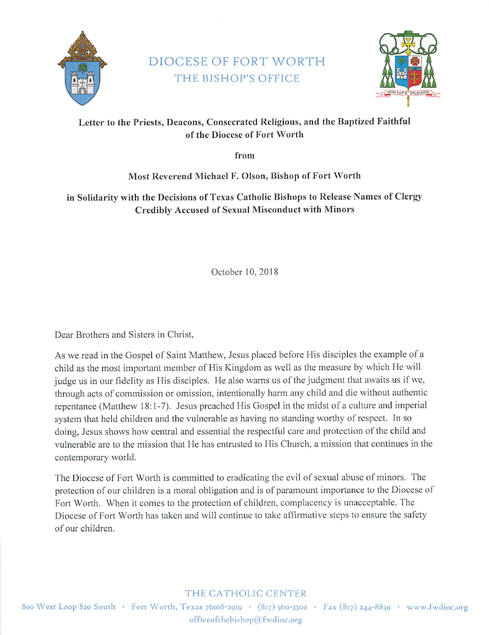

### DIOCESE OF FORT WORTH THE BISHOP'S OFFICE



### Letter to the Priests, Deacons, Consecrated Religious, and the Baptized Faithful of the Diocese of Fort Worth

from

Most Reverend Michael F. Olson, Bishop of Fort Worth

in Solidarity with the Decisions of Texas Catholic Bishops to Release Names of Clergy Credibly Accused of Sexual Misconduct with Minors

October 10, 2018

Dear Brothers and Sisters in Christ,

As we read in the Gospel of Saint Matthew, Jesus placed before His disciples the example of a child as the most important member of His Kingdom as well as the measure by which He will judge us in our fidelity as His disciples. He also warns us of the judgment that awaits us if we, through acts of commission or omission, intentionally harm any child and die without authentic repentance (Matthew 18:1-7). Jesus preached His Gospel in the midst of a culture and imperial system that held children and the vulnerable as having no standing worthy of respect. In so doing, Jesus shows how central and essential the respectful care and protection of the child and vulnerable are to the mission that He has entrusted to His Church, a mission that continues in the contemporary world.

The Diocese of Fort Worth is committed to eradicating the evil of sexual abuse of minors. The protection of our children is a moral obligation and is of paramount importance to the Diocese of Fort Worth. When it comes to the protection of children, complacency is unacceptable. The Diocese of Fort Worth has taken and will continue to take affirmative steps to ensure the safety of our children.

#### THE CATHOLIC CENTER

800 West Loop 820 South · Fort Worth, Texas 76108-2019 · (817) 560-3300 · Fax (817) 244-8839 · www.fwdioc.org officeofthebishop@fwdioc.org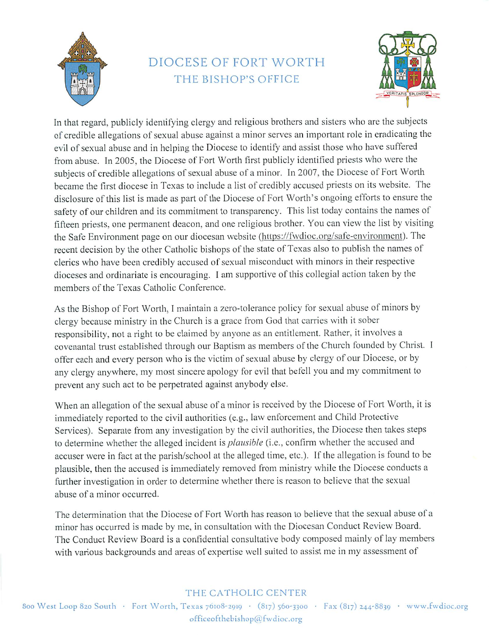

# DIOCESE OF FORT WORTH THE BISHOP'S OFFICE



In that regard, publicly identifying clergy and religious brothers and sisters who are the subjects of credible allegations of sexual abuse against a minor serves an important role in eradicating the evil of sexual abuse and in helping the Diocese to identify and assist those who have suffered from abuse. In 2005, the Diocese of Fort Worth first publicly identified priests who were the subjects of credible allegations of sexual abuse of a minor. In 2007, the Diocese of Fort Worth became the first diocese in Texas to include a list of credibly accused priests on its website. The disclosure of this list is made as part of the Diocese of Fort Worth's ongoing efforts to ensure the safety of our children and its commitment to transparency. This list today contains the names of fifteen priests, one permanent deacon, and one religious brother. You can view the list by visiting the Safe Environment page on our diocesan website (https://fwdioc.org/safe-environment). The recent decision by the other Catholic bishops of the state of Texas also to publish the names of clerics who have been credibly accused of sexual misconduct with minors in their respective dioceses and ordinariate is encouraging. I am supportive of this collegial action taken by the members of the Texas Catholic Conference.

As the Bishop of Fort Worth, I maintain a zero-tolerance policy for sexual abuse of minors by clergy because ministry in the Church is a grace from God that carries with it sober responsibility, not a right to be claimed by anyone as an entitlement. Rather, it involves a covenantal trust established through our Baptism as members of the Church founded by Christ. I offer each and every person who is the victim of sexual abuse by clergy of our Diocese, or by any clergy anywhere, my most sincere apology for evil that befell you and my commitment to prevent any such act to be perpetrated against anybody else.

When an allegation of the sexual abuse of a minor is received by the Diocese of Fort Worth, it is immediately reported to the civil authorities (e.g., law enforcement and Child Protective Services). Separate from any investigation by the civil authorities, the Diocese then takes steps to determine whether the alleged incident is *plausible* (i.e., confirm whether the accused and accuser were in fact at the parish/school at the alleged time, etc.). If the allegation is found to be plausible, then the accused is immediately removed from ministry while the Diocese conducts a further investigation in order to determine whether there is reason to believe that the sexual abuse of a minor occurred.

The determination that the Diocese of Fort Worth has reason to believe that the sexual abuse of a minor has occurred is made by me, in consultation with the Diocesan Conduct Review Board. The Conduct Review Board is a confidential consultative body composed mainly of lay members with various backgrounds and areas of expertise well suited to assist me in my assessment of

#### THE CATHOLIC CENTER

800 West Loop 820 South · Fort Worth, Texas 76108-2919 · (817) 560-3300 · Fax (817) 244-8839 · www.fwdioc.org officeofthebishop@fwdioc.org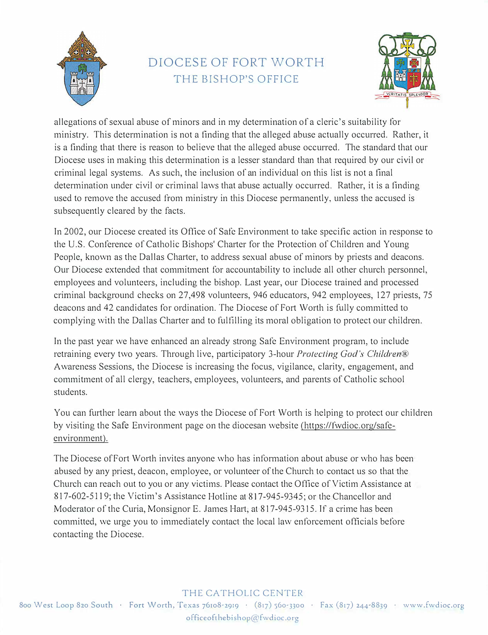

# DIOCESE OF FORT WORTH THE BISHOP'S OFFICE



allegations of sexual abuse of minors and in my determination of a cleric's suitability for ministry. This determination is not a finding that the alleged abuse actually occurred. Rather, it is a finding that there is reason to believe that the alleged abuse occurred. The standard that our Diocese uses in making this determination is a lesser standard than that required by our civil or criminal legal systems. As such, the inclusion of an individual on this list is not a final determination under civil or criminal laws that abuse actually occurred. Rather, it is a finding used to remove the accused from ministry in this Diocese permanently, unless the accused is subsequently cleared by the facts.

In 2002, our Diocese created its Office of Safe Environment to take specific action in response to the U.S. Conference of Catholic Bishops' Charter for the Protection of Children and Young People, known as the Dallas Charter, to address sexual abuse of minors by priests and deacons. Our Diocese extended that commitment for accountability to include all other church personnel, employees and volunteers, including the bishop. Last year, our Diocese trained and processed criminal background checks on 27,498 volunteers, 946 educators, 942 employees, 127 priests, 75 deacons and 42 candidates for ordination. The Diocese of Fort Worth is fully committed to complying with the Dallas Charter and to fulfilling its moral obligation to protect our children.

In the past year we have enhanced an already strong Safe Environment program, to include retraining every two years. Through live, participatory 3-hour *Protecting God's Children®*  Awareness Sessions, the Diocese is increasing the focus, vigilance, clarity, engagement, and commitment of all clergy, teachers, employees, volunteers, and parents of Catholic school students.

You can further learn about the ways the Diocese of Fort Worth is helping to protect our children by visiting the Safe Environment page on the diocesan website (https://fwdioc.org/safeenvironment).

The Diocese of Fort Worth invites anyone who has information about abuse or who has been abused by any priest, deacon, employee, or volunteer of the Church to contact us so that the Church can reach out to you or any victims. Please contact the Office of Victim Assistance at 817-602-5119; the Victim's Assistance Hotline at 817-945-9345; or the Chancellor and Moderator of the Curia, Monsignor E. James Hart, at 817-945-9315. If a crime has been committed, we urge you to immediately contact the local law enforcement officials before contacting the Diocese.

#### THE CATHOLIC CENTER

800 West Loop 820 South · Fort VVorth, Texas 76108-2919 · (817) 560-3300 · Fax (817) 244-8839 · www.fwdioc.org officcofthebishop@fwdioc.org